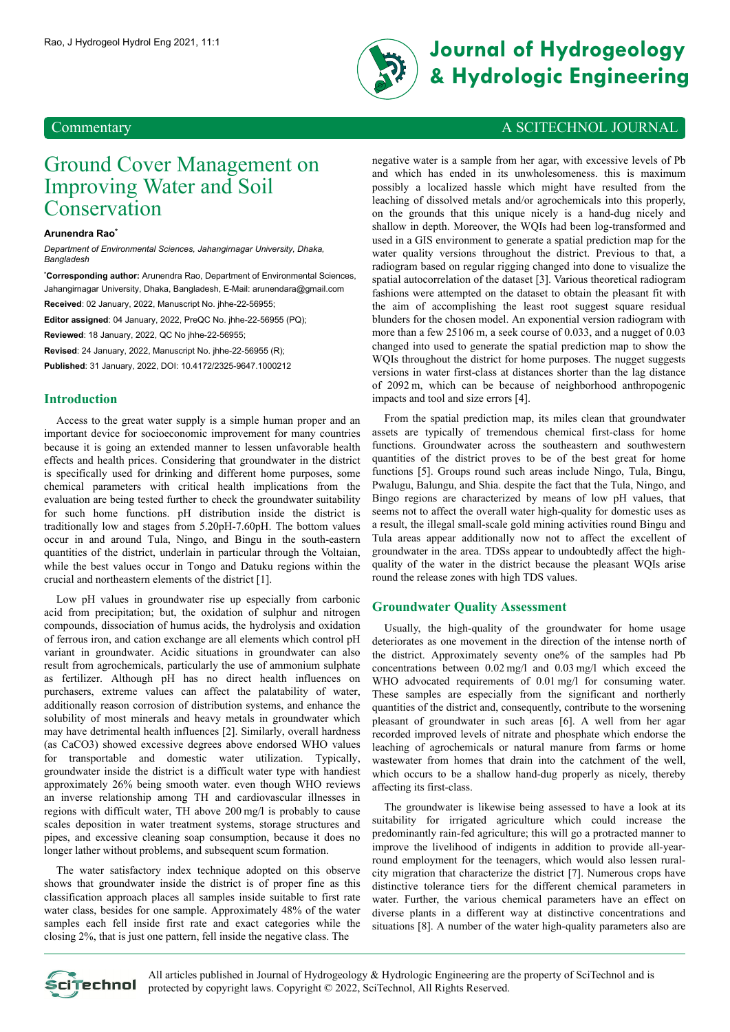

# Rao, J Hydrogeol Hydrol Eng 2021, 11:1 **Journal of Hydrogeology & Hydrologic Engineering**

## Ground Cover Management on Improving Water and Soil Conservation

#### **Arunendra Rao\***

*Department of Environmental Sciences, Jahangirnagar University, Dhaka, Bangladesh*

**\*Corresponding author:** Arunendra Rao, Department of Environmental Sciences, Jahangirnagar University, Dhaka, Bangladesh, E-Mail: [arunendara@gmail.com](mailto:arunendara@gmail.com) **Received**: 02 January, 2022, Manuscript No. jhhe-22-56955;

**Editor assigned**: 04 January, 2022, PreQC No. jhhe-22-56955 (PQ);

**Reviewed**: 18 January, 2022, QC No jhhe-22-56955;

**Revised**: 24 January, 2022, Manuscript No. jhhe-22-56955 (R);

**Published**: 31 January, 2022, DOI: 10.4172/2325-9647.1000212

#### **Introduction**

Access to the great water supply is a simple human proper and an important device for socioeconomic improvement for many countries because it is going an extended manner to lessen unfavorable health effects and health prices. Considering that groundwater in the district is specifically used for drinking and different home purposes, some chemical parameters with critical health implications from the evaluation are being tested further to check the groundwater suitability for such home functions. pH distribution inside the district is traditionally low and stages from 5.20pH-7.60pH. The bottom values occur in and around Tula, Ningo, and Bingu in the south-eastern quantities of the district, underlain in particular through the Voltaian, while the best values occur in Tongo and Datuku regions within the crucial and northeastern elements of the district [1].

Low pH values in groundwater rise up especially from carbonic acid from precipitation; but, the oxidation of sulphur and nitrogen compounds, dissociation of humus acids, the hydrolysis and oxidation of ferrous iron, and cation exchange are all elements which control pH variant in groundwater. Acidic situations in groundwater can also result from agrochemicals, particularly the use of ammonium sulphate as fertilizer. Although pH has no direct health influences on purchasers, extreme values can affect the palatability of water, additionally reason corrosion of distribution systems, and enhance the solubility of most minerals and heavy metals in groundwater which may have detrimental health influences [2]. Similarly, overall hardness (as CaCO3) showed excessive degrees above endorsed WHO values for transportable and domestic water utilization. Typically, groundwater inside the district is a difficult water type with handiest approximately 26% being smooth water. even though WHO reviews an inverse relationship among TH and cardiovascular illnesses in regions with difficult water, TH above 200 mg/l is probably to cause scales deposition in water treatment systems, storage structures and pipes, and excessive cleaning soap consumption, because it does no longer lather without problems, and subsequent scum formation.

The water satisfactory index technique adopted on this observe shows that groundwater inside the district is of proper fine as this classification approach places all samples inside suitable to first rate water class, besides for one sample. Approximately 48% of the water samples each fell inside first rate and exact categories while the closing 2%, that is just one pattern, fell inside the negative class. The

### Commentary A SCITECHNOL JOURNAL

negative water is a sample from her agar, with excessive levels of Pb and which has ended in its unwholesomeness. this is maximum possibly a localized hassle which might have resulted from the leaching of dissolved metals and/or agrochemicals into this properly, on the grounds that this unique nicely is a hand-dug nicely and shallow in depth. Moreover, the WQIs had been log-transformed and used in a GIS environment to generate a spatial prediction map for the water quality versions throughout the district. Previous to that, a radiogram based on regular rigging changed into done to visualize the spatial autocorrelation of the dataset [3]. Various theoretical radiogram fashions were attempted on the dataset to obtain the pleasant fit with the aim of accomplishing the least root suggest square residual blunders for the chosen model. An exponential version radiogram with more than a few 25106 m, a seek course of 0.033, and a nugget of 0.03 changed into used to generate the spatial prediction map to show the WQIs throughout the district for home purposes. The nugget suggests versions in water first-class at distances shorter than the lag distance of 2092 m, which can be because of neighborhood anthropogenic impacts and tool and size errors [4].

From the spatial prediction map, its miles clean that groundwater assets are typically of tremendous chemical first-class for home functions. Groundwater across the southeastern and southwestern quantities of the district proves to be of the best great for home functions [5]. Groups round such areas include Ningo, Tula, Bingu, Pwalugu, Balungu, and Shia. despite the fact that the Tula, Ningo, and Bingo regions are characterized by means of low pH values, that seems not to affect the overall water high-quality for domestic uses as a result, the illegal small-scale gold mining activities round Bingu and Tula areas appear additionally now not to affect the excellent of groundwater in the area. TDSs appear to undoubtedly affect the highquality of the water in the district because the pleasant WQIs arise round the release zones with high TDS values.

#### **Groundwater Quality Assessment**

Usually, the high-quality of the groundwater for home usage deteriorates as one movement in the direction of the intense north of the district. Approximately seventy one% of the samples had Pb concentrations between 0.02 mg/l and 0.03 mg/l which exceed the WHO advocated requirements of 0.01 mg/l for consuming water. These samples are especially from the significant and northerly quantities of the district and, consequently, contribute to the worsening pleasant of groundwater in such areas [6]. A well from her agar recorded improved levels of nitrate and phosphate which endorse the leaching of agrochemicals or natural manure from farms or home wastewater from homes that drain into the catchment of the well, which occurs to be a shallow hand-dug properly as nicely, thereby affecting its first-class.

The groundwater is likewise being assessed to have a look at its suitability for irrigated agriculture which could increase the predominantly rain-fed agriculture; this will go a protracted manner to improve the livelihood of indigents in addition to provide all-yearround employment for the teenagers, which would also lessen ruralcity migration that characterize the district [7]. Numerous crops have distinctive tolerance tiers for the different chemical parameters in water. Further, the various chemical parameters have an effect on diverse plants in a different way at distinctive concentrations and situations [8]. A number of the water high-quality parameters also are



All articles published in Journal of Hydrogeology & Hydrologic Engineering are the property of SciTechnol and is protected by copyright laws. Copyright © 2022, SciTechnol, All Rights Reserved.